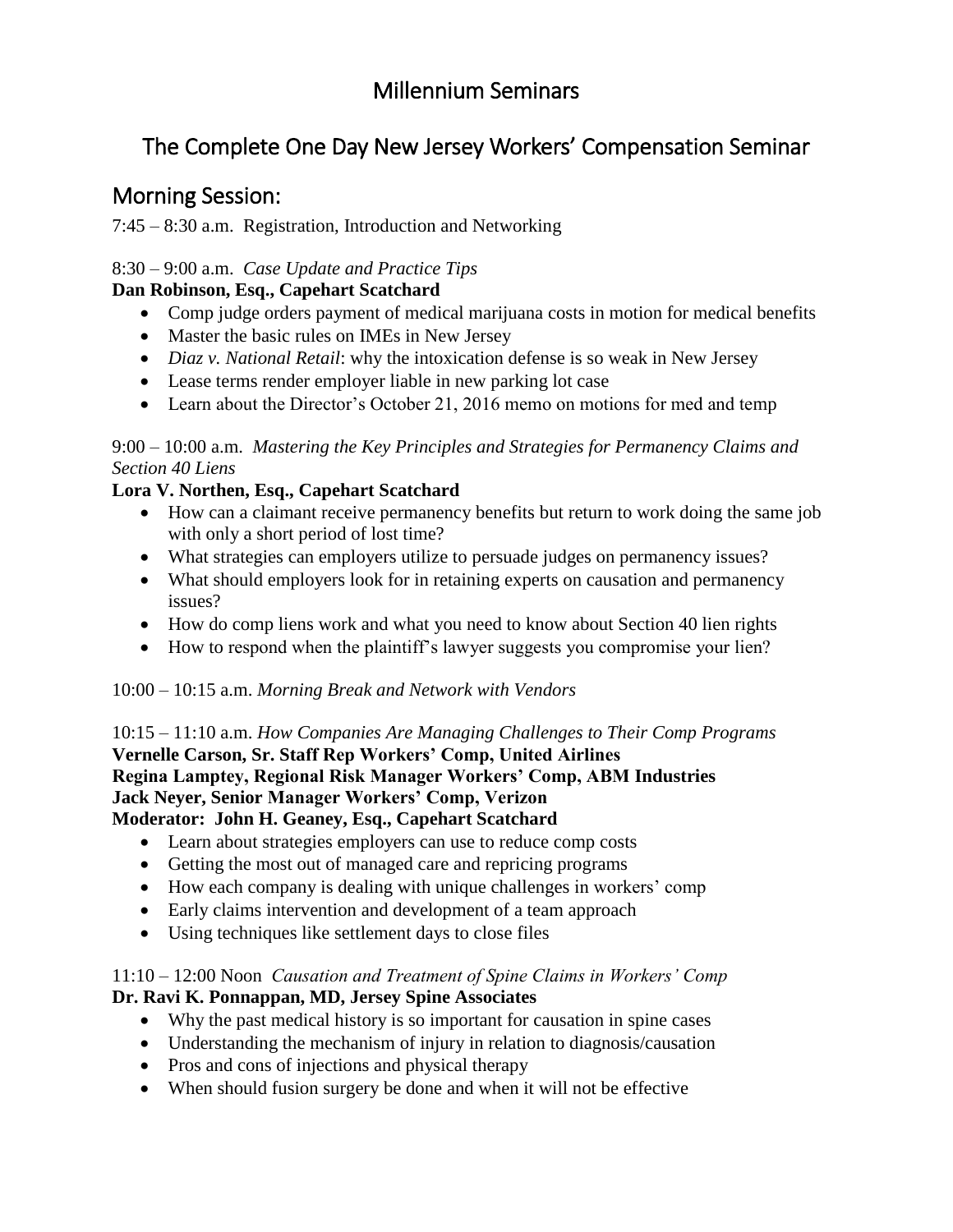## Millennium Seminars

# The Complete One Day New Jersey Workers' Compensation Seminar

### Morning Session:

7:45 – 8:30 a.m. Registration, Introduction and Networking

#### 8:30 – 9:00 a.m. *Case Update and Practice Tips*

#### **Dan Robinson, Esq., Capehart Scatchard**

- Comp judge orders payment of medical marijuana costs in motion for medical benefits
- Master the basic rules on IMEs in New Jersey
- *Diaz v. National Retail*: why the intoxication defense is so weak in New Jersey
- Lease terms render employer liable in new parking lot case
- Learn about the Director's October 21, 2016 memo on motions for med and temp

9:00 – 10:00 a.m. *Mastering the Key Principles and Strategies for Permanency Claims and Section 40 Liens*

#### **Lora V. Northen, Esq., Capehart Scatchard**

- How can a claimant receive permanency benefits but return to work doing the same job with only a short period of lost time?
- What strategies can employers utilize to persuade judges on permanency issues?
- What should employers look for in retaining experts on causation and permanency issues?
- How do comp liens work and what you need to know about Section 40 lien rights
- How to respond when the plaintiff's lawyer suggests you compromise your lien?

#### 10:00 – 10:15 a.m. *Morning Break and Network with Vendors*

10:15 – 11:10 a.m. *How Companies Are Managing Challenges to Their Comp Programs* **Vernelle Carson, Sr. Staff Rep Workers' Comp, United Airlines Regina Lamptey, Regional Risk Manager Workers' Comp, ABM Industries Jack Neyer, Senior Manager Workers' Comp, Verizon Moderator: John H. Geaney, Esq., Capehart Scatchard**

- Learn about strategies employers can use to reduce comp costs
- Getting the most out of managed care and repricing programs
- How each company is dealing with unique challenges in workers' comp
- Early claims intervention and development of a team approach
- Using techniques like settlement days to close files

#### 11:10 – 12:00 Noon *Causation and Treatment of Spine Claims in Workers' Comp* **Dr. Ravi K. Ponnappan, MD, Jersey Spine Associates**

- Why the past medical history is so important for causation in spine cases
- Understanding the mechanism of injury in relation to diagnosis/causation
- Pros and cons of injections and physical therapy
- When should fusion surgery be done and when it will not be effective